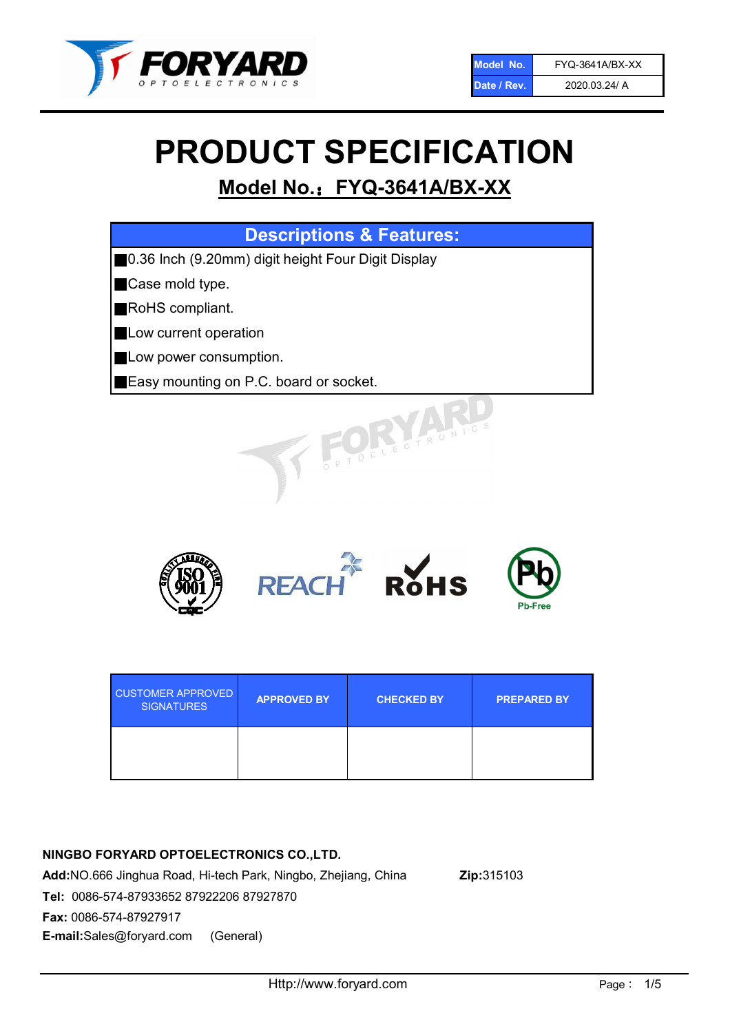

# PRODUCT SPECIFICATION

# Model No.: FYQ-3641A/BX-XX

| <b>Descriptions &amp; Features:</b>                |
|----------------------------------------------------|
| 0.36 Inch (9.20mm) digit height Four Digit Display |
| Case mold type.                                    |
| RoHS compliant.                                    |
| Low current operation                              |
| Low power consumption.                             |
| Easy mounting on P.C. board or socket.             |
| TOELEGTRONIC.                                      |



| <b>CUSTOMER APPROVED</b><br><b>SIGNATURES</b> | <b>APPROVED BY</b> | <b>CHECKED BY</b> | <b>PREPARED BY</b> |
|-----------------------------------------------|--------------------|-------------------|--------------------|
|                                               |                    |                   |                    |

## NINGBO FORYARD OPTOELECTRONICS CO.,LTD.

Add:NO.666 Jinghua Road, Hi-tech Park, Ningbo, Zhejiang, China Zip:315103 Tel: 0086-574-87933652 87922206 87927870 Fax: 0086-574-87927917 E-mail:Sales@foryard.com (General)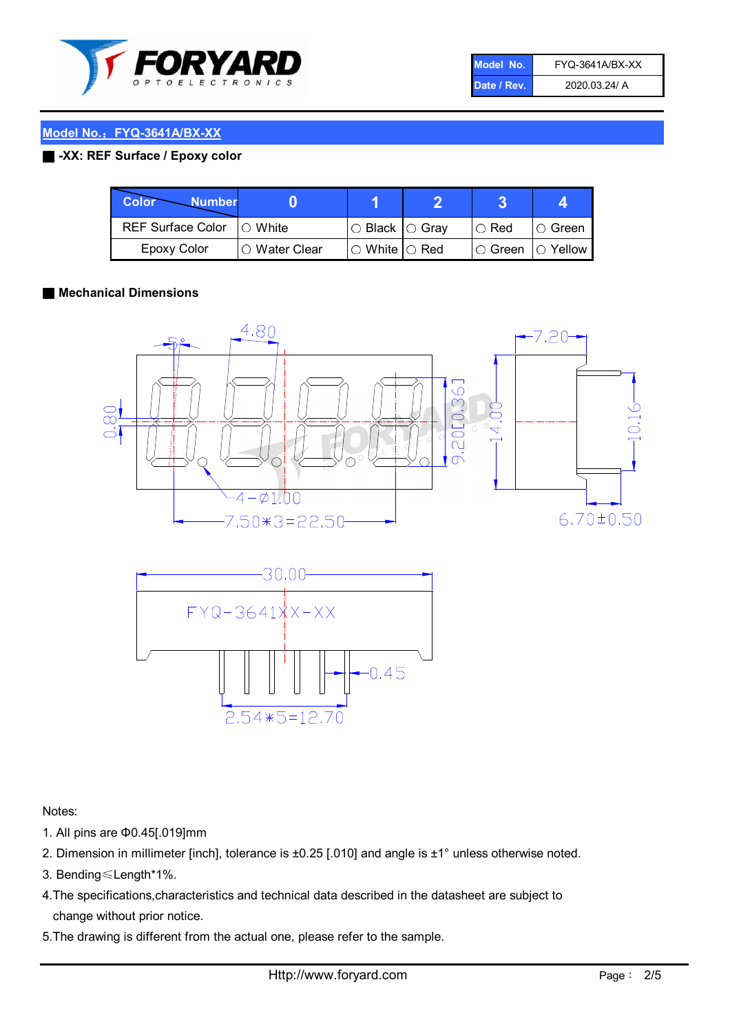

| Model No.   | FYQ-3641A/BX-XX |
|-------------|-----------------|
| Date / Rev. | 2020.03.24/ A   |

#### ■ -XX: REF Surface / Epoxy color

| Color<br><b>Number</b>     |                |                           |             |                |
|----------------------------|----------------|---------------------------|-------------|----------------|
| REF Surface Color  ○ White |                | ○ Black  ○ Gray           | $\circ$ Red | $\circ$ Green  |
| Epoxy Color                | I⊖ Water Clear | $\circ$ White $\circ$ Red | I⊖ Green    | $\circ$ Yellow |

#### ■ Mechanical Dimensions





Notes:

- 1. All pins are Φ0.45[.019]mm
- 2. Dimension in millimeter [inch], tolerance is ±0.25 [.010] and angle is ±1° unless otherwise noted.
- 3. Bending≤Length\*1%.
- 4.The specifications,characteristics and technical data described in the datasheet are subject to change without prior notice.
- 5.The drawing is different from the actual one, please refer to the sample.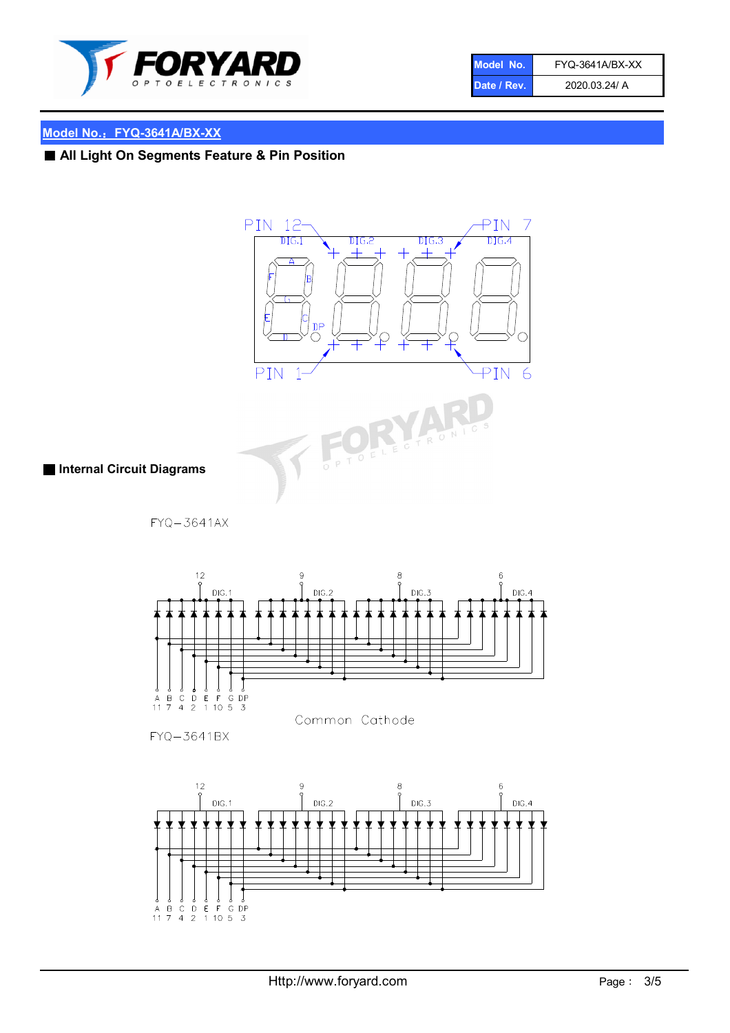

| Model No.   | FYQ-3641A/BX-XX |
|-------------|-----------------|
| Date / Rev. | 2020.03.24/ A   |

# ■ All Light On Segments Feature & Pin Position



■ Internal Circuit Diagrams

FYQ-3641AX



FYQ-3641BX

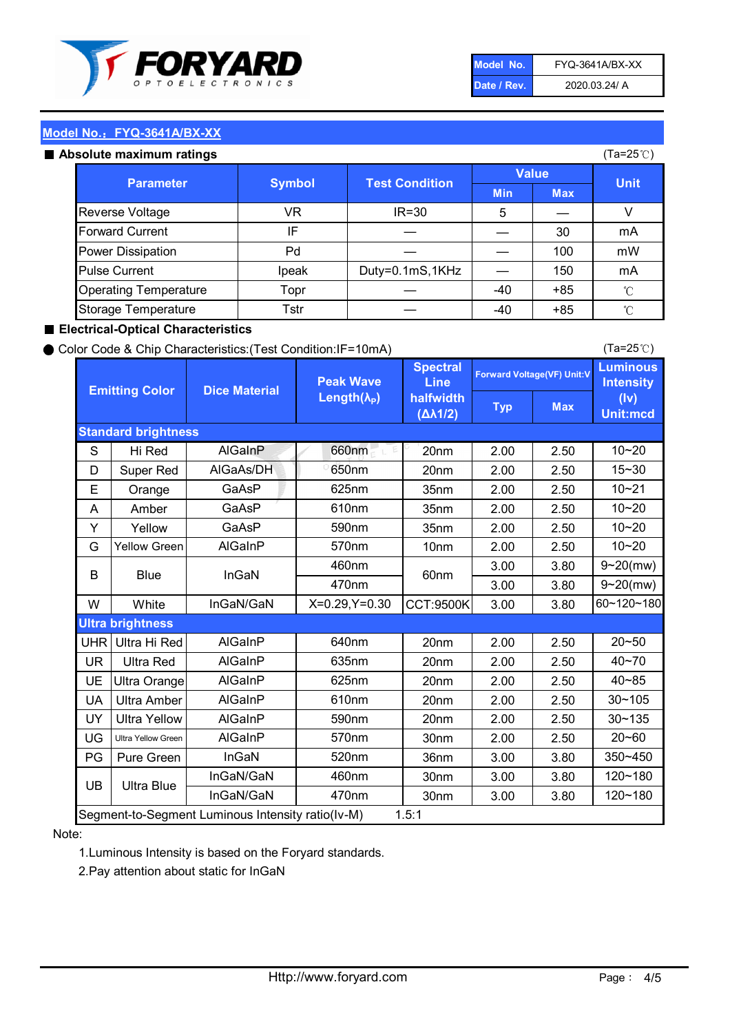

| Model No.   | FYQ-3641A/BX-XX |
|-------------|-----------------|
| Date / Rev. | 2020.03.24/ A   |

#### Absolute maximum ratings

| ISUIULU IIIAAIIIIUIIII TALIIIYS |               |                       |              | (⊺a−∠J ∪ <i>)</i> |              |
|---------------------------------|---------------|-----------------------|--------------|-------------------|--------------|
| <b>Parameter</b>                | <b>Symbol</b> | <b>Test Condition</b> | <b>Value</b> |                   | <b>Unit</b>  |
|                                 |               |                       | <b>Min</b>   | <b>Max</b>        |              |
| Reverse Voltage                 | VR            | $IR = 30$             | 5            |                   |              |
| <b>Forward Current</b>          | ΙF            |                       |              | 30                | mA           |
| Power Dissipation               | Pd            |                       |              | 100               | mW           |
| <b>Pulse Current</b>            | Ipeak         | Duty=0.1mS,1KHz       |              | 150               | mA           |
| <b>Operating Temperature</b>    | Topr          |                       | $-40$        | $+85$             | $^{\circ}$ C |
| Storage Temperature             | Tstr          |                       | $-40$        | $+85$             | °C           |

#### ■ Electrical-Optical Characteristics

#### ● Color Code & Chip Characteristics:(Test Condition:IF=10mA)

Typ Max S | Hi $\textsf{Red}$  | AlGaInP | 660nm LE 20nm | 2.00 | 2.50 D | Super Red | AIGaAs/DH | 650nm | 20nm | 2.00 | 2.50 E | Orange | GaAsP | 625nm | 35nm | 2.00 | 2.50 A | Amber | GaAsP | 610nm | 35nm | 2.00 | 2.50 Y | Yellow | GaAsP | 590nm | 35nm | 2.00 | 2.50 G Yellow Green AIGaInP | 570nm | 10nm | 2.00 | 2.50 3.00 3.80 3.00 3.80 W | White | InGaN/GaN | X=0.29,Y=0.30 |CCT:9500K| 3.00 | 3.80 UHR Ultra Hi Red  $\vert$  AIGaInP  $\vert$  640nm  $\vert$  20nm  $\vert$  2.00  $\vert$  2.50 UR | Ultra Red | AlGaInP | 635nm | 20nm | 2.00 | 2.50 UE Ultra Orange | AIGaInP | 625nm | 20nm | 2.00 | 2.50 UA Ultra Amber | AIGaInP | 610nm | 20nm | 2.00 | 2.50  $UV$  Ultra Yellow  $\vert$  AlGaInP  $\vert$  590nm  $\vert$  20nm  $\vert$  2.00  $\vert$  2.50  $\text{UG}$  Ultra Yellow Green | AIGaInP | 570nm | 30nm | 2.00 | 2.50 PG | Pure Green | InGaN | 520nm | 36nm | 3.00 | 3.80 30nm 3.00 3.80 30nm 3.00 3.80 40~85 60~120~180 40~70 Segment-to-Segment Luminous Intensity ratio(Iv-M) 1.5:1 610nm 9~20(mw) 350~450 470nm 120~180 120~180 Ultra Blue InGaN/GaN 9~20(mw) 20~50 570nm | 30nm | 2.00 | 2.50 | 20~60 470nm 590nm InGaN/GaN B Blue I InGaN 570nm | 10nm | 2.00 | 2.50 | 10~20 30~105 30~135 460nm 520nm Ultra brightness **AlGaInP** AlGaInP 60nm AlGaInP 640nm Peak Wave Length $(\lambda_{\rm P})$ UB 460nm 635nm AlGaInP AlGaInP AlGaInP InGaN/GaN AlGaInP 10~20 Luminous **Intensity** (Iv) Unit:mcd AlGainP 660nm GaAsP GaAsP AlGaAs/DH **Spectral** Line halfwidth (∆λ1/2) 10~20 Standard brightness Forward Voltage(VF) Unit:V 15~30 10~20 625nm GaAsP 590nm **Emitting Color Dice Material** 10~21 610nm

#### Note:

1.Luminous Intensity is based on the Foryard standards.

2.Pay attention about static for InGaN

(Ta=25℃)

(Ta=25℃)